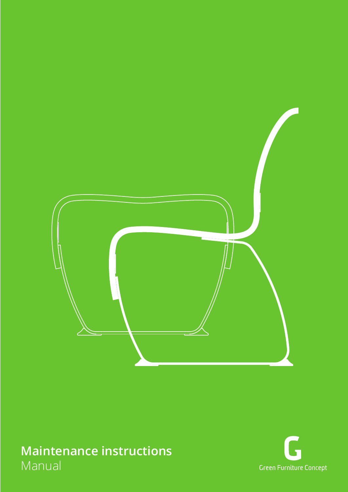

# **Maintenance instructions** Manual

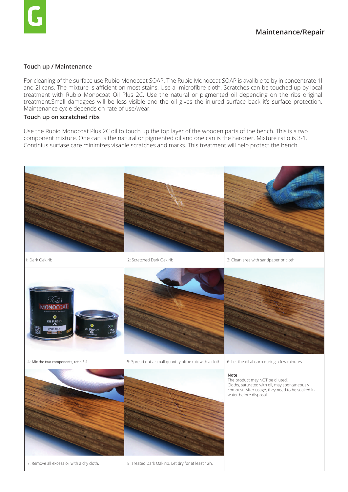## **Touch up / Maintenance**

For cleaning of the surface use Rubio Monocoat SOAP. The Rubio Monocoat SOAP is avalible to by in concentrate 1l and 2l cans. The mixture is afficient on most stains. Use a microfibre cloth. Scratches can be touched up by local treatment with Rubio Monocoat Oil Plus 2C. Use the natural or pigmented oil depending on the ribs original treatment.Small damagees will be less visible and the oil gives the injured surface back it's surface protection. Maintenance cycle depends on rate of use/wear.

#### **Touch up on scratched ribs**

Use the Rubio Monocoat Plus 2C oil to touch up the top layer of the wooden parts of the bench. This is a two component mixture. One can is the natural or pigmented oil and one can is the hardner. Mixture ratio is 3-1. Continius surfase care minimizes visable scratches and marks. This treatment will help protect the bench.

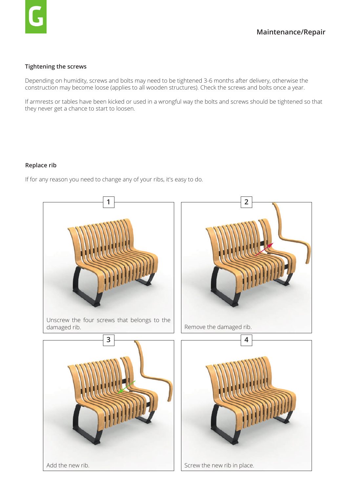## **Tightening the screws**

Depending on humidity, screws and bolts may need to be tightened 3-6 months after delivery, otherwise the construction may become loose (applies to all wooden structures). Check the screws and bolts once a year.

If armrests or tables have been kicked or used in a wrongful way the bolts and screws should be tightened so that they never get a chance to start to loosen.

## **Replace rib**

If for any reason you need to change any of your ribs, it's easy to do.

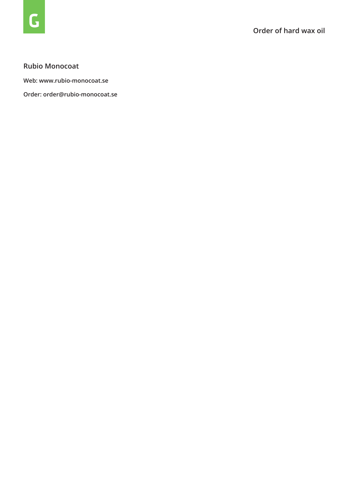## **Rubio Monocoat**

**Web: www.rubio-monocoat.se**

**Order: order@rubio-monocoat.se**